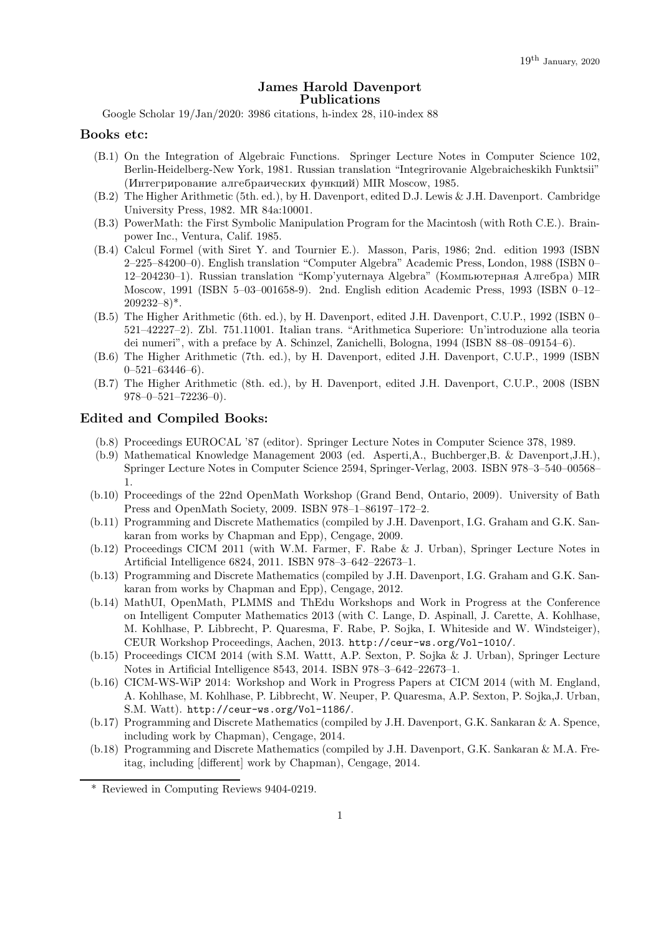## James Harold Davenport Publications

Google Scholar 19/Jan/2020: 3986 citations, h-index 28, i10-index 88

## Books etc:

- (B.1) On the Integration of Algebraic Functions. Springer Lecture Notes in Computer Science 102, Berlin-Heidelberg-New York, 1981. Russian translation "Integrirovanie Algebraicheskikh Funktsii" (Интегрирование алгебраических функций) MIR Moscow, 1985.
- (B.2) The Higher Arithmetic (5th. ed.), by H. Davenport, edited D.J. Lewis & J.H. Davenport. Cambridge University Press, 1982. MR 84a:10001.
- (B.3) PowerMath: the First Symbolic Manipulation Program for the Macintosh (with Roth C.E.). Brainpower Inc., Ventura, Calif. 1985.
- (B.4) Calcul Formel (with Siret Y. and Tournier E.). Masson, Paris, 1986; 2nd. edition 1993 (ISBN 2–225–84200–0). English translation "Computer Algebra" Academic Press, London, 1988 (ISBN 0– 12–204230–1). Russian translation "Komp'yuternaya Algebra" (Компьютерная Алгебра) MIR Moscow, 1991 (ISBN 5–03–001658-9). 2nd. English edition Academic Press, 1993 (ISBN 0–12–  $209232-8$ <sup>\*</sup>.
- (B.5) The Higher Arithmetic (6th. ed.), by H. Davenport, edited J.H. Davenport, C.U.P., 1992 (ISBN 0– 521–42227–2). Zbl. 751.11001. Italian trans. "Arithmetica Superiore: Un'introduzione alla teoria dei numeri", with a preface by A. Schinzel, Zanichelli, Bologna, 1994 (ISBN 88–08–09154–6).
- (B.6) The Higher Arithmetic (7th. ed.), by H. Davenport, edited J.H. Davenport, C.U.P., 1999 (ISBN  $0-521-63446-6$ ).
- (B.7) The Higher Arithmetic (8th. ed.), by H. Davenport, edited J.H. Davenport, C.U.P., 2008 (ISBN  $978 - 0 - 521 - 72236 - 0$ .

# Edited and Compiled Books:

- (b.8) Proceedings EUROCAL '87 (editor). Springer Lecture Notes in Computer Science 378, 1989.
- (b.9) Mathematical Knowledge Management 2003 (ed. Asperti,A., Buchberger,B. & Davenport,J.H.), Springer Lecture Notes in Computer Science 2594, Springer-Verlag, 2003. ISBN 978–3–540–00568– 1.
- (b.10) Proceedings of the 22nd OpenMath Workshop (Grand Bend, Ontario, 2009). University of Bath Press and OpenMath Society, 2009. ISBN 978–1–86197–172–2.
- (b.11) Programming and Discrete Mathematics (compiled by J.H. Davenport, I.G. Graham and G.K. Sankaran from works by Chapman and Epp), Cengage, 2009.
- (b.12) Proceedings CICM 2011 (with W.M. Farmer, F. Rabe & J. Urban), Springer Lecture Notes in Artificial Intelligence 6824, 2011. ISBN 978–3–642–22673–1.
- (b.13) Programming and Discrete Mathematics (compiled by J.H. Davenport, I.G. Graham and G.K. Sankaran from works by Chapman and Epp), Cengage, 2012.
- (b.14) MathUI, OpenMath, PLMMS and ThEdu Workshops and Work in Progress at the Conference on Intelligent Computer Mathematics 2013 (with C. Lange, D. Aspinall, J. Carette, A. Kohlhase, M. Kohlhase, P. Libbrecht, P. Quaresma, F. Rabe, P. Sojka, I. Whiteside and W. Windsteiger), CEUR Workshop Proceedings, Aachen, 2013. http://ceur-ws.org/Vol-1010/.
- (b.15) Proceedings CICM 2014 (with S.M. Wattt, A.P. Sexton, P. Sojka & J. Urban), Springer Lecture Notes in Artificial Intelligence 8543, 2014. ISBN 978–3–642–22673–1.
- (b.16) CICM-WS-WiP 2014: Workshop and Work in Progress Papers at CICM 2014 (with M. England, A. Kohlhase, M. Kohlhase, P. Libbrecht, W. Neuper, P. Quaresma, A.P. Sexton, P. Sojka,J. Urban, S.M. Watt). http://ceur-ws.org/Vol-1186/.
- (b.17) Programming and Discrete Mathematics (compiled by J.H. Davenport, G.K. Sankaran & A. Spence, including work by Chapman), Cengage, 2014.
- (b.18) Programming and Discrete Mathematics (compiled by J.H. Davenport, G.K. Sankaran & M.A. Freitag, including [different] work by Chapman), Cengage, 2014.

<sup>\*</sup> Reviewed in Computing Reviews 9404-0219.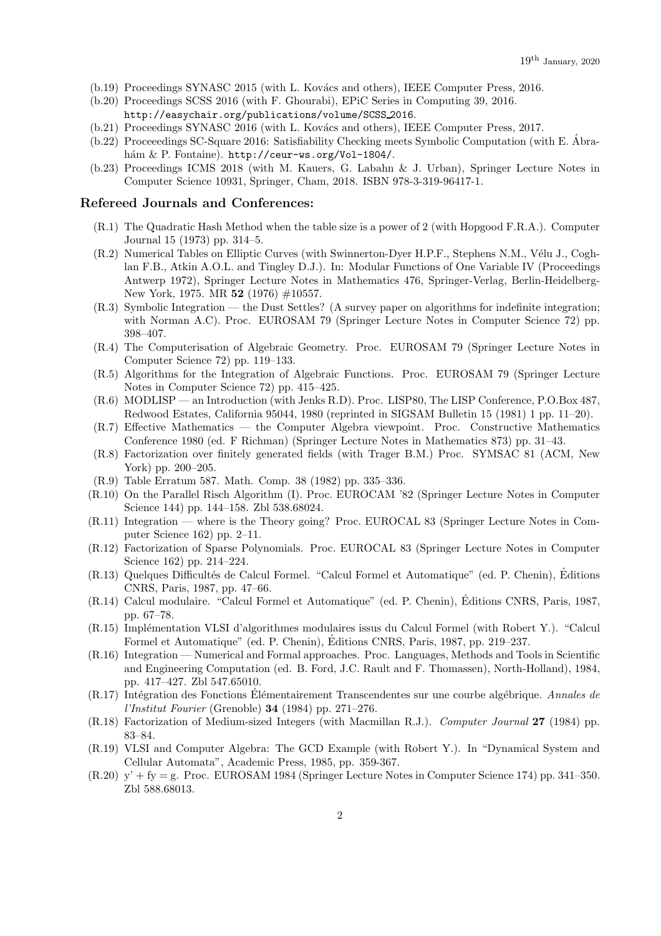- (b.19) Proceedings SYNASC 2015 (with L. Kovács and others), IEEE Computer Press, 2016.
- (b.20) Proceedings SCSS 2016 (with F. Ghourabi), EPiC Series in Computing 39, 2016. http://easychair.org/publications/volume/SCSS 2016.
- (b.21) Proceedings SYNASC 2016 (with L. Kovács and others), IEEE Computer Press, 2017.
- (b.22) Proceeedings SC-Square 2016: Satisfiability Checking meets Symbolic Computation (with E. Abra- ´ hám & P. Fontaine). http://ceur-ws.org/Vol-1804/.
- (b.23) Proceedings ICMS 2018 (with M. Kauers, G. Labahn & J. Urban), Springer Lecture Notes in Computer Science 10931, Springer, Cham, 2018. ISBN 978-3-319-96417-1.

#### Refereed Journals and Conferences:

- (R.1) The Quadratic Hash Method when the table size is a power of 2 (with Hopgood F.R.A.). Computer Journal 15 (1973) pp. 314–5.
- (R.2) Numerical Tables on Elliptic Curves (with Swinnerton-Dyer H.P.F., Stephens N.M., Vélu J., Coghlan F.B., Atkin A.O.L. and Tingley D.J.). In: Modular Functions of One Variable IV (Proceedings Antwerp 1972), Springer Lecture Notes in Mathematics 476, Springer-Verlag, Berlin-Heidelberg-New York, 1975. MR **52** (1976) #10557.
- (R.3) Symbolic Integration the Dust Settles? (A survey paper on algorithms for indefinite integration; with Norman A.C). Proc. EUROSAM 79 (Springer Lecture Notes in Computer Science 72) pp. 398–407.
- (R.4) The Computerisation of Algebraic Geometry. Proc. EUROSAM 79 (Springer Lecture Notes in Computer Science 72) pp. 119–133.
- (R.5) Algorithms for the Integration of Algebraic Functions. Proc. EUROSAM 79 (Springer Lecture Notes in Computer Science 72) pp. 415–425.
- (R.6) MODLISP an Introduction (with Jenks R.D). Proc. LISP80, The LISP Conference, P.O.Box 487, Redwood Estates, California 95044, 1980 (reprinted in SIGSAM Bulletin 15 (1981) 1 pp. 11–20).
- (R.7) Effective Mathematics the Computer Algebra viewpoint. Proc. Constructive Mathematics Conference 1980 (ed. F Richman) (Springer Lecture Notes in Mathematics 873) pp. 31–43.
- (R.8) Factorization over finitely generated fields (with Trager B.M.) Proc. SYMSAC 81 (ACM, New York) pp. 200–205.
- (R.9) Table Erratum 587. Math. Comp. 38 (1982) pp. 335–336.
- (R.10) On the Parallel Risch Algorithm (I). Proc. EUROCAM '82 (Springer Lecture Notes in Computer Science 144) pp. 144–158. Zbl 538.68024.
- (R.11) Integration where is the Theory going? Proc. EUROCAL 83 (Springer Lecture Notes in Computer Science 162) pp. 2–11.
- (R.12) Factorization of Sparse Polynomials. Proc. EUROCAL 83 (Springer Lecture Notes in Computer Science 162) pp. 214–224.
- (R.13) Quelques Difficultés de Calcul Formel. "Calcul Formel et Automatique" (ed. P. Chenin), Éditions CNRS, Paris, 1987, pp. 47–66.
- (R.14) Calcul modulaire. "Calcul Formel et Automatique" (ed. P. Chenin), Editions CNRS, Paris, 1987, ´ pp. 67–78.
- (R.15) Impl´ementation VLSI d'algorithmes modulaires issus du Calcul Formel (with Robert Y.). "Calcul Formel et Automatique" (ed. P. Chenin), Editions CNRS, Paris, 1987, pp. 219–237. ´
- (R.16) Integration Numerical and Formal approaches. Proc. Languages, Methods and Tools in Scientific and Engineering Computation (ed. B. Ford, J.C. Rault and F. Thomassen), North-Holland), 1984, pp. 417–427. Zbl 547.65010.
- (R.17) Int´egration des Fonctions El´ementairement Transcendentes sur une courbe alg´ebrique. ´ *Annales de l'Institut Fourier* (Grenoble) 34 (1984) pp. 271–276.
- (R.18) Factorization of Medium-sized Integers (with Macmillan R.J.). *Computer Journal* 27 (1984) pp. 83–84.
- (R.19) VLSI and Computer Algebra: The GCD Example (with Robert Y.). In "Dynamical System and Cellular Automata", Academic Press, 1985, pp. 359-367.
- $(R.20)$  y' + fy = g. Proc. EUROSAM 1984 (Springer Lecture Notes in Computer Science 174) pp. 341–350. Zbl 588.68013.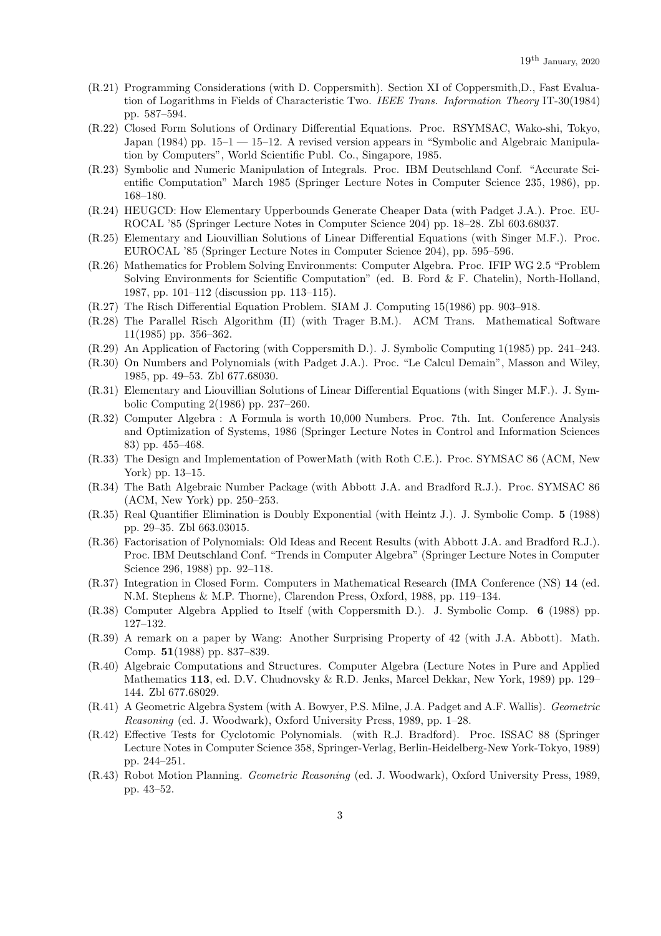- (R.21) Programming Considerations (with D. Coppersmith). Section XI of Coppersmith,D., Fast Evaluation of Logarithms in Fields of Characteristic Two. *IEEE Trans. Information Theory* IT-30(1984) pp. 587–594.
- (R.22) Closed Form Solutions of Ordinary Differential Equations. Proc. RSYMSAC, Wako-shi, Tokyo, Japan (1984) pp. 15–1 — 15–12. A revised version appears in "Symbolic and Algebraic Manipulation by Computers", World Scientific Publ. Co., Singapore, 1985.
- (R.23) Symbolic and Numeric Manipulation of Integrals. Proc. IBM Deutschland Conf. "Accurate Scientific Computation" March 1985 (Springer Lecture Notes in Computer Science 235, 1986), pp. 168–180.
- (R.24) HEUGCD: How Elementary Upperbounds Generate Cheaper Data (with Padget J.A.). Proc. EU-ROCAL '85 (Springer Lecture Notes in Computer Science 204) pp. 18–28. Zbl 603.68037.
- (R.25) Elementary and Liouvillian Solutions of Linear Differential Equations (with Singer M.F.). Proc. EUROCAL '85 (Springer Lecture Notes in Computer Science 204), pp. 595–596.
- (R.26) Mathematics for Problem Solving Environments: Computer Algebra. Proc. IFIP WG 2.5 "Problem Solving Environments for Scientific Computation" (ed. B. Ford & F. Chatelin), North-Holland, 1987, pp. 101–112 (discussion pp. 113–115).
- (R.27) The Risch Differential Equation Problem. SIAM J. Computing 15(1986) pp. 903–918.
- (R.28) The Parallel Risch Algorithm (II) (with Trager B.M.). ACM Trans. Mathematical Software 11(1985) pp. 356–362.
- (R.29) An Application of Factoring (with Coppersmith D.). J. Symbolic Computing 1(1985) pp. 241–243.
- (R.30) On Numbers and Polynomials (with Padget J.A.). Proc. "Le Calcul Demain", Masson and Wiley, 1985, pp. 49–53. Zbl 677.68030.
- (R.31) Elementary and Liouvillian Solutions of Linear Differential Equations (with Singer M.F.). J. Symbolic Computing 2(1986) pp. 237–260.
- (R.32) Computer Algebra : A Formula is worth 10,000 Numbers. Proc. 7th. Int. Conference Analysis and Optimization of Systems, 1986 (Springer Lecture Notes in Control and Information Sciences 83) pp. 455–468.
- (R.33) The Design and Implementation of PowerMath (with Roth C.E.). Proc. SYMSAC 86 (ACM, New York) pp. 13–15.
- (R.34) The Bath Algebraic Number Package (with Abbott J.A. and Bradford R.J.). Proc. SYMSAC 86 (ACM, New York) pp. 250–253.
- (R.35) Real Quantifier Elimination is Doubly Exponential (with Heintz J.). J. Symbolic Comp. 5 (1988) pp. 29–35. Zbl 663.03015.
- (R.36) Factorisation of Polynomials: Old Ideas and Recent Results (with Abbott J.A. and Bradford R.J.). Proc. IBM Deutschland Conf. "Trends in Computer Algebra" (Springer Lecture Notes in Computer Science 296, 1988) pp. 92–118.
- (R.37) Integration in Closed Form. Computers in Mathematical Research (IMA Conference (NS) 14 (ed. N.M. Stephens & M.P. Thorne), Clarendon Press, Oxford, 1988, pp. 119–134.
- (R.38) Computer Algebra Applied to Itself (with Coppersmith D.). J. Symbolic Comp. 6 (1988) pp. 127–132.
- (R.39) A remark on a paper by Wang: Another Surprising Property of 42 (with J.A. Abbott). Math. Comp. 51(1988) pp. 837–839.
- (R.40) Algebraic Computations and Structures. Computer Algebra (Lecture Notes in Pure and Applied Mathematics 113, ed. D.V. Chudnovsky & R.D. Jenks, Marcel Dekkar, New York, 1989) pp. 129– 144. Zbl 677.68029.
- (R.41) A Geometric Algebra System (with A. Bowyer, P.S. Milne, J.A. Padget and A.F. Wallis). *Geometric Reasoning* (ed. J. Woodwark), Oxford University Press, 1989, pp. 1–28.
- (R.42) Effective Tests for Cyclotomic Polynomials. (with R.J. Bradford). Proc. ISSAC 88 (Springer Lecture Notes in Computer Science 358, Springer-Verlag, Berlin-Heidelberg-New York-Tokyo, 1989) pp. 244–251.
- (R.43) Robot Motion Planning. *Geometric Reasoning* (ed. J. Woodwark), Oxford University Press, 1989, pp. 43–52.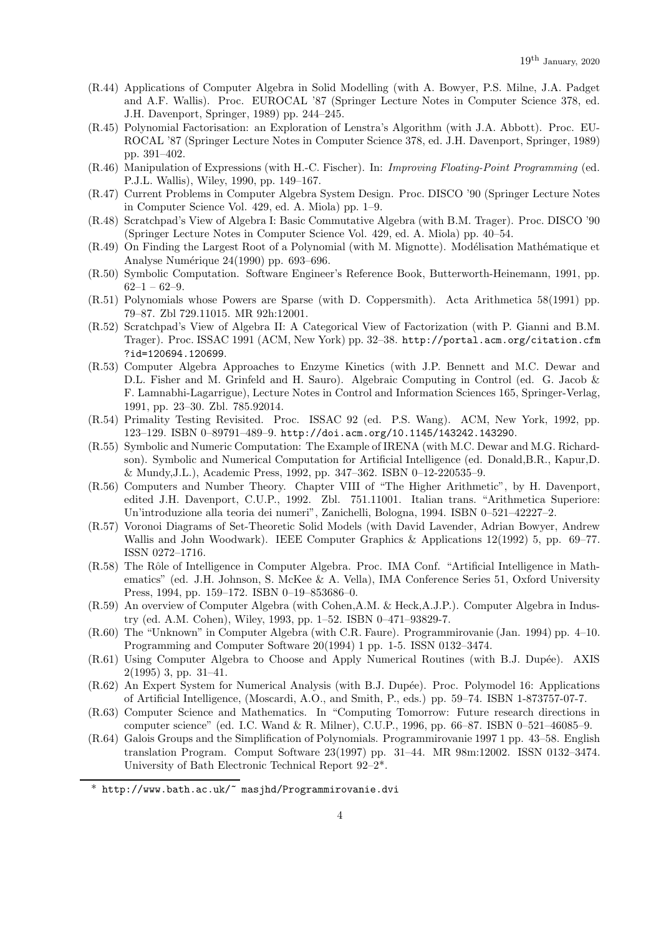- (R.44) Applications of Computer Algebra in Solid Modelling (with A. Bowyer, P.S. Milne, J.A. Padget and A.F. Wallis). Proc. EUROCAL '87 (Springer Lecture Notes in Computer Science 378, ed. J.H. Davenport, Springer, 1989) pp. 244–245.
- (R.45) Polynomial Factorisation: an Exploration of Lenstra's Algorithm (with J.A. Abbott). Proc. EU-ROCAL '87 (Springer Lecture Notes in Computer Science 378, ed. J.H. Davenport, Springer, 1989) pp. 391–402.
- (R.46) Manipulation of Expressions (with H.-C. Fischer). In: *Improving Floating-Point Programming* (ed. P.J.L. Wallis), Wiley, 1990, pp. 149–167.
- (R.47) Current Problems in Computer Algebra System Design. Proc. DISCO '90 (Springer Lecture Notes in Computer Science Vol. 429, ed. A. Miola) pp. 1–9.
- (R.48) Scratchpad's View of Algebra I: Basic Commutative Algebra (with B.M. Trager). Proc. DISCO '90 (Springer Lecture Notes in Computer Science Vol. 429, ed. A. Miola) pp. 40–54.
- (R.49) On Finding the Largest Root of a Polynomial (with M. Mignotte). Modélisation Mathématique et Analyse Numérique 24(1990) pp. 693-696.
- (R.50) Symbolic Computation. Software Engineer's Reference Book, Butterworth-Heinemann, 1991, pp.  $62-1 - 62-9.$
- (R.51) Polynomials whose Powers are Sparse (with D. Coppersmith). Acta Arithmetica 58(1991) pp. 79–87. Zbl 729.11015. MR 92h:12001.
- (R.52) Scratchpad's View of Algebra II: A Categorical View of Factorization (with P. Gianni and B.M. Trager). Proc. ISSAC 1991 (ACM, New York) pp. 32–38. http://portal.acm.org/citation.cfm ?id=120694.120699.
- (R.53) Computer Algebra Approaches to Enzyme Kinetics (with J.P. Bennett and M.C. Dewar and D.L. Fisher and M. Grinfeld and H. Sauro). Algebraic Computing in Control (ed. G. Jacob & F. Lamnabhi-Lagarrigue), Lecture Notes in Control and Information Sciences 165, Springer-Verlag, 1991, pp. 23–30. Zbl. 785.92014.
- (R.54) Primality Testing Revisited. Proc. ISSAC 92 (ed. P.S. Wang). ACM, New York, 1992, pp. 123–129. ISBN 0–89791–489–9. http://doi.acm.org/10.1145/143242.143290.
- (R.55) Symbolic and Numeric Computation: The Example of IRENA (with M.C. Dewar and M.G. Richardson). Symbolic and Numerical Computation for Artificial Intelligence (ed. Donald,B.R., Kapur,D. & Mundy,J.L.), Academic Press, 1992, pp. 347–362. ISBN 0–12-220535–9.
- (R.56) Computers and Number Theory. Chapter VIII of "The Higher Arithmetic", by H. Davenport, edited J.H. Davenport, C.U.P., 1992. Zbl. 751.11001. Italian trans. "Arithmetica Superiore: Un'introduzione alla teoria dei numeri", Zanichelli, Bologna, 1994. ISBN 0–521–42227–2.
- (R.57) Voronoi Diagrams of Set-Theoretic Solid Models (with David Lavender, Adrian Bowyer, Andrew Wallis and John Woodwark). IEEE Computer Graphics & Applications 12(1992) 5, pp. 69–77. ISSN 0272–1716.
- (R.58) The Rˆole of Intelligence in Computer Algebra. Proc. IMA Conf. "Artificial Intelligence in Mathematics" (ed. J.H. Johnson, S. McKee & A. Vella), IMA Conference Series 51, Oxford University Press, 1994, pp. 159–172. ISBN 0–19–853686–0.
- (R.59) An overview of Computer Algebra (with Cohen,A.M. & Heck,A.J.P.). Computer Algebra in Industry (ed. A.M. Cohen), Wiley, 1993, pp. 1–52. ISBN 0–471–93829-7.
- (R.60) The "Unknown" in Computer Algebra (with C.R. Faure). Programmirovanie (Jan. 1994) pp. 4–10. Programming and Computer Software 20(1994) 1 pp. 1-5. ISSN 0132–3474.
- (R.61) Using Computer Algebra to Choose and Apply Numerical Routines (with B.J. Dupée). AXIS 2(1995) 3, pp. 31–41.
- (R.62) An Expert System for Numerical Analysis (with B.J. Dupée). Proc. Polymodel 16: Applications of Artificial Intelligence, (Moscardi, A.O., and Smith, P., eds.) pp. 59–74. ISBN 1-873757-07-7.
- (R.63) Computer Science and Mathematics. In "Computing Tomorrow: Future research directions in computer science" (ed. I.C. Wand & R. Milner), C.U.P., 1996, pp. 66–87. ISBN 0–521–46085–9.
- (R.64) Galois Groups and the Simplification of Polynomials. Programmirovanie 1997 1 pp. 43–58. English translation Program. Comput Software 23(1997) pp. 31–44. MR 98m:12002. ISSN 0132–3474. University of Bath Electronic Technical Report 92–2\*.

<sup>\*</sup> http://www.bath.ac.uk/~ masjhd/Programmirovanie.dvi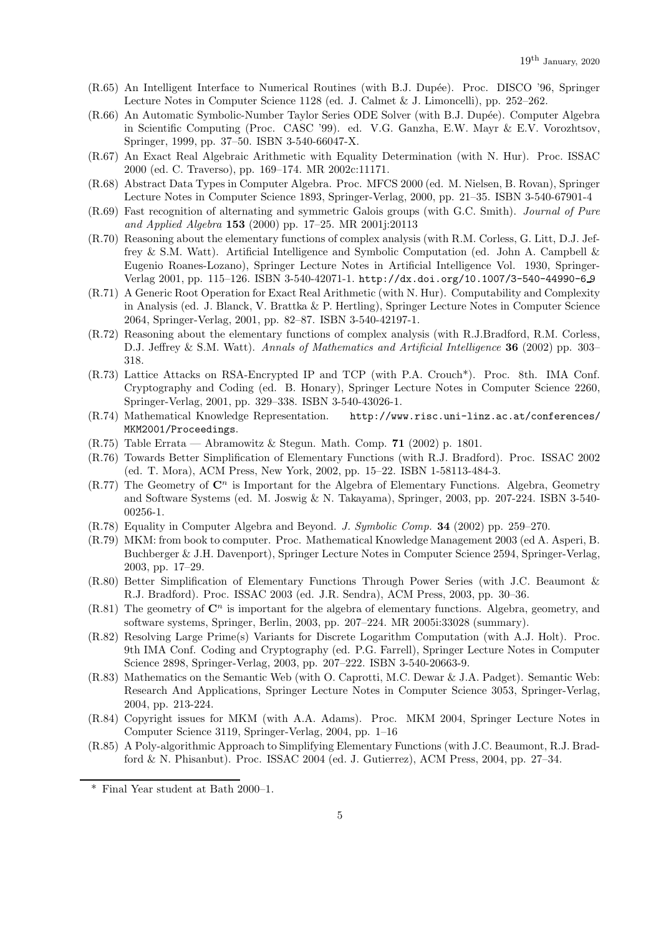- (R.65) An Intelligent Interface to Numerical Routines (with B.J. Dupée). Proc. DISCO '96, Springer Lecture Notes in Computer Science 1128 (ed. J. Calmet & J. Limoncelli), pp. 252–262.
- (R.66) An Automatic Symbolic-Number Taylor Series ODE Solver (with B.J. Dupée). Computer Algebra in Scientific Computing (Proc. CASC '99). ed. V.G. Ganzha, E.W. Mayr & E.V. Vorozhtsov, Springer, 1999, pp. 37–50. ISBN 3-540-66047-X.
- (R.67) An Exact Real Algebraic Arithmetic with Equality Determination (with N. Hur). Proc. ISSAC 2000 (ed. C. Traverso), pp. 169–174. MR 2002c:11171.
- (R.68) Abstract Data Types in Computer Algebra. Proc. MFCS 2000 (ed. M. Nielsen, B. Rovan), Springer Lecture Notes in Computer Science 1893, Springer-Verlag, 2000, pp. 21–35. ISBN 3-540-67901-4
- (R.69) Fast recognition of alternating and symmetric Galois groups (with G.C. Smith). *Journal of Pure and Applied Algebra* 153 (2000) pp. 17–25. MR 2001j:20113
- (R.70) Reasoning about the elementary functions of complex analysis (with R.M. Corless, G. Litt, D.J. Jeffrey & S.M. Watt). Artificial Intelligence and Symbolic Computation (ed. John A. Campbell & Eugenio Roanes-Lozano), Springer Lecture Notes in Artificial Intelligence Vol. 1930, Springer-Verlag 2001, pp. 115–126. ISBN 3-540-42071-1. http://dx.doi.org/10.1007/3-540-44990-6 9
- (R.71) A Generic Root Operation for Exact Real Arithmetic (with N. Hur). Computability and Complexity in Analysis (ed. J. Blanck, V. Brattka & P. Hertling), Springer Lecture Notes in Computer Science 2064, Springer-Verlag, 2001, pp. 82–87. ISBN 3-540-42197-1.
- (R.72) Reasoning about the elementary functions of complex analysis (with R.J.Bradford, R.M. Corless, D.J. Jeffrey & S.M. Watt). *Annals of Mathematics and Artificial Intelligence* 36 (2002) pp. 303– 318.
- (R.73) Lattice Attacks on RSA-Encrypted IP and TCP (with P.A. Crouch\*). Proc. 8th. IMA Conf. Cryptography and Coding (ed. B. Honary), Springer Lecture Notes in Computer Science 2260, Springer-Verlag, 2001, pp. 329–338. ISBN 3-540-43026-1.
- (R.74) Mathematical Knowledge Representation. http://www.risc.uni-linz.ac.at/conferences/ MKM2001/Proceedings.
- (R.75) Table Errata Abramowitz & Stegun. Math. Comp. 71 (2002) p. 1801.
- (R.76) Towards Better Simplification of Elementary Functions (with R.J. Bradford). Proc. ISSAC 2002 (ed. T. Mora), ACM Press, New York, 2002, pp. 15–22. ISBN 1-58113-484-3.
- $(R.77)$  The Geometry of  $\mathbb{C}^n$  is Important for the Algebra of Elementary Functions. Algebra, Geometry and Software Systems (ed. M. Joswig & N. Takayama), Springer, 2003, pp. 207-224. ISBN 3-540- 00256-1.
- (R.78) Equality in Computer Algebra and Beyond. *J. Symbolic Comp.* 34 (2002) pp. 259–270.
- (R.79) MKM: from book to computer. Proc. Mathematical Knowledge Management 2003 (ed A. Asperi, B. Buchberger & J.H. Davenport), Springer Lecture Notes in Computer Science 2594, Springer-Verlag, 2003, pp. 17–29.
- (R.80) Better Simplification of Elementary Functions Through Power Series (with J.C. Beaumont & R.J. Bradford). Proc. ISSAC 2003 (ed. J.R. Sendra), ACM Press, 2003, pp. 30–36.
- $(R.81)$  The geometry of  $\mathbb{C}^n$  is important for the algebra of elementary functions. Algebra, geometry, and software systems, Springer, Berlin, 2003, pp. 207–224. MR 2005i:33028 (summary).
- (R.82) Resolving Large Prime(s) Variants for Discrete Logarithm Computation (with A.J. Holt). Proc. 9th IMA Conf. Coding and Cryptography (ed. P.G. Farrell), Springer Lecture Notes in Computer Science 2898, Springer-Verlag, 2003, pp. 207–222. ISBN 3-540-20663-9.
- (R.83) Mathematics on the Semantic Web (with O. Caprotti, M.C. Dewar & J.A. Padget). Semantic Web: Research And Applications, Springer Lecture Notes in Computer Science 3053, Springer-Verlag, 2004, pp. 213-224.
- (R.84) Copyright issues for MKM (with A.A. Adams). Proc. MKM 2004, Springer Lecture Notes in Computer Science 3119, Springer-Verlag, 2004, pp. 1–16
- (R.85) A Poly-algorithmic Approach to Simplifying Elementary Functions (with J.C. Beaumont, R.J. Bradford & N. Phisanbut). Proc. ISSAC 2004 (ed. J. Gutierrez), ACM Press, 2004, pp. 27–34.

<sup>\*</sup> Final Year student at Bath 2000–1.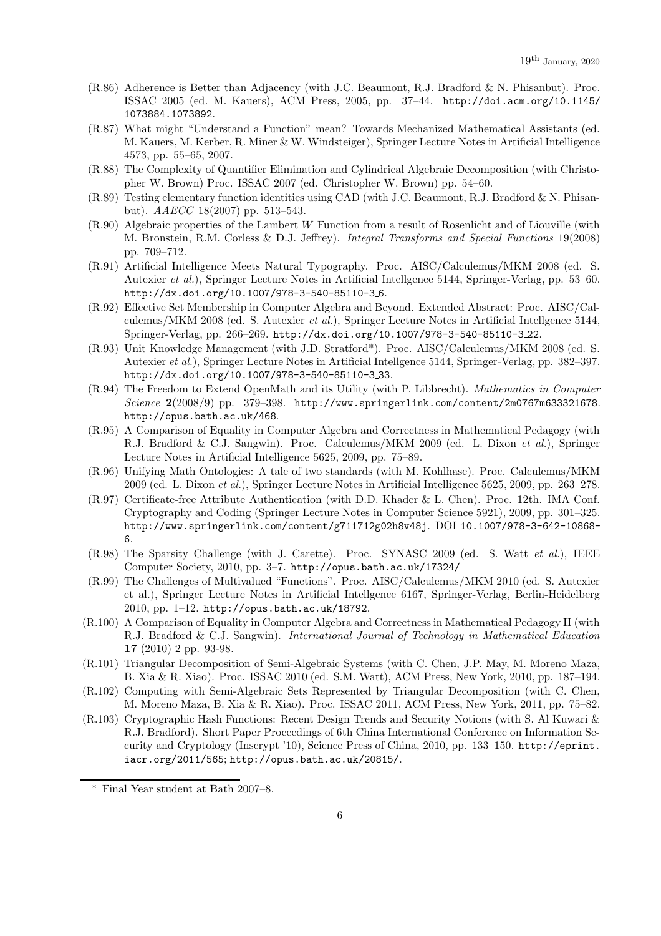- (R.86) Adherence is Better than Adjacency (with J.C. Beaumont, R.J. Bradford & N. Phisanbut). Proc. ISSAC 2005 (ed. M. Kauers), ACM Press, 2005, pp. 37–44. http://doi.acm.org/10.1145/ 1073884.1073892.
- (R.87) What might "Understand a Function" mean? Towards Mechanized Mathematical Assistants (ed. M. Kauers, M. Kerber, R. Miner & W. Windsteiger), Springer Lecture Notes in Artificial Intelligence 4573, pp. 55–65, 2007.
- (R.88) The Complexity of Quantifier Elimination and Cylindrical Algebraic Decomposition (with Christopher W. Brown) Proc. ISSAC 2007 (ed. Christopher W. Brown) pp. 54–60.
- (R.89) Testing elementary function identities using CAD (with J.C. Beaumont, R.J. Bradford & N. Phisanbut). *AAECC* 18(2007) pp. 513–543.
- (R.90) Algebraic properties of the Lambert W Function from a result of Rosenlicht and of Liouville (with M. Bronstein, R.M. Corless & D.J. Jeffrey). *Integral Transforms and Special Functions* 19(2008) pp. 709–712.
- (R.91) Artificial Intelligence Meets Natural Typography. Proc. AISC/Calculemus/MKM 2008 (ed. S. Autexier *et al.*), Springer Lecture Notes in Artificial Intellgence 5144, Springer-Verlag, pp. 53–60. http://dx.doi.org/10.1007/978-3-540-85110-3 6.
- (R.92) Effective Set Membership in Computer Algebra and Beyond. Extended Abstract: Proc. AISC/Calculemus/MKM 2008 (ed. S. Autexier *et al.*), Springer Lecture Notes in Artificial Intellgence 5144, Springer-Verlag, pp. 266–269. http://dx.doi.org/10.1007/978-3-540-85110-3 22.
- (R.93) Unit Knowledge Management (with J.D. Stratford\*). Proc. AISC/Calculemus/MKM 2008 (ed. S. Autexier *et al.*), Springer Lecture Notes in Artificial Intellgence 5144, Springer-Verlag, pp. 382–397. http://dx.doi.org/10.1007/978-3-540-85110-3 33.
- (R.94) The Freedom to Extend OpenMath and its Utility (with P. Libbrecht). *Mathematics in Computer Science* 2(2008/9) pp. 379–398. http://www.springerlink.com/content/2m0767m633321678. http://opus.bath.ac.uk/468.
- (R.95) A Comparison of Equality in Computer Algebra and Correctness in Mathematical Pedagogy (with R.J. Bradford & C.J. Sangwin). Proc. Calculemus/MKM 2009 (ed. L. Dixon *et al.*), Springer Lecture Notes in Artificial Intelligence 5625, 2009, pp. 75–89.
- (R.96) Unifying Math Ontologies: A tale of two standards (with M. Kohlhase). Proc. Calculemus/MKM 2009 (ed. L. Dixon *et al.*), Springer Lecture Notes in Artificial Intelligence 5625, 2009, pp. 263–278.
- (R.97) Certificate-free Attribute Authentication (with D.D. Khader & L. Chen). Proc. 12th. IMA Conf. Cryptography and Coding (Springer Lecture Notes in Computer Science 5921), 2009, pp. 301–325. http://www.springerlink.com/content/g711712g02h8v48j. DOI 10.1007/978-3-642-10868- 6.
- (R.98) The Sparsity Challenge (with J. Carette). Proc. SYNASC 2009 (ed. S. Watt *et al.*), IEEE Computer Society, 2010, pp. 3–7. http://opus.bath.ac.uk/17324/
- (R.99) The Challenges of Multivalued "Functions". Proc. AISC/Calculemus/MKM 2010 (ed. S. Autexier et al.), Springer Lecture Notes in Artificial Intellgence 6167, Springer-Verlag, Berlin-Heidelberg 2010, pp. 1–12. http://opus.bath.ac.uk/18792.
- (R.100) A Comparison of Equality in Computer Algebra and Correctness in Mathematical Pedagogy II (with R.J. Bradford & C.J. Sangwin). *International Journal of Technology in Mathematical Education* 17 (2010) 2 pp. 93-98.
- (R.101) Triangular Decomposition of Semi-Algebraic Systems (with C. Chen, J.P. May, M. Moreno Maza, B. Xia & R. Xiao). Proc. ISSAC 2010 (ed. S.M. Watt), ACM Press, New York, 2010, pp. 187–194.
- (R.102) Computing with Semi-Algebraic Sets Represented by Triangular Decomposition (with C. Chen, M. Moreno Maza, B. Xia & R. Xiao). Proc. ISSAC 2011, ACM Press, New York, 2011, pp. 75–82.
- (R.103) Cryptographic Hash Functions: Recent Design Trends and Security Notions (with S. Al Kuwari & R.J. Bradford). Short Paper Proceedings of 6th China International Conference on Information Security and Cryptology (Inscrypt '10), Science Press of China, 2010, pp. 133–150. http://eprint. iacr.org/2011/565; http://opus.bath.ac.uk/20815/.

<sup>\*</sup> Final Year student at Bath 2007–8.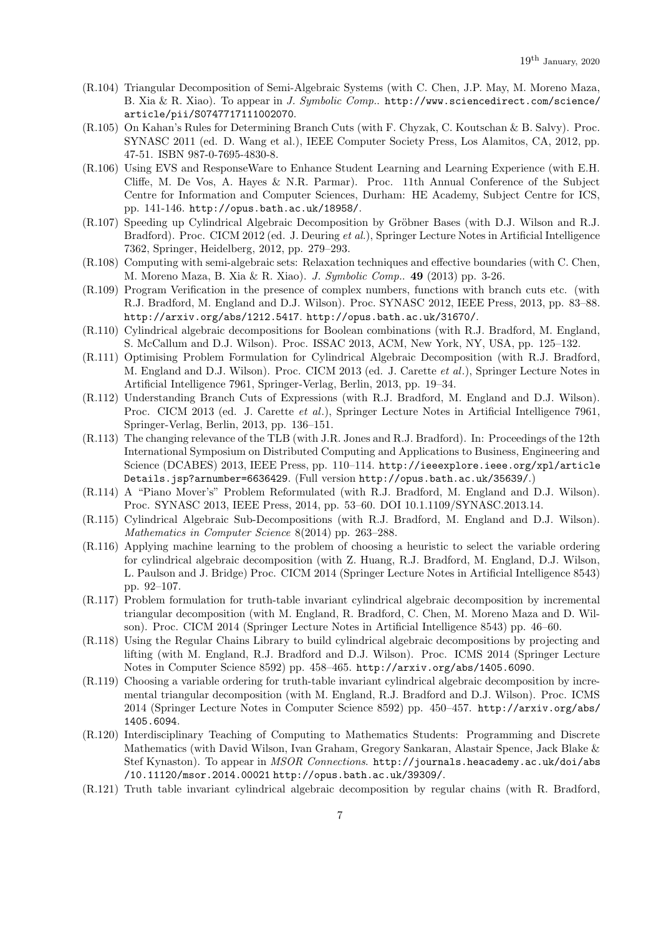- (R.104) Triangular Decomposition of Semi-Algebraic Systems (with C. Chen, J.P. May, M. Moreno Maza, B. Xia & R. Xiao). To appear in *J. Symbolic Comp.*. http://www.sciencedirect.com/science/ article/pii/S0747717111002070.
- (R.105) On Kahan's Rules for Determining Branch Cuts (with F. Chyzak, C. Koutschan & B. Salvy). Proc. SYNASC 2011 (ed. D. Wang et al.), IEEE Computer Society Press, Los Alamitos, CA, 2012, pp. 47-51. ISBN 987-0-7695-4830-8.
- (R.106) Using EVS and ResponseWare to Enhance Student Learning and Learning Experience (with E.H. Cliffe, M. De Vos, A. Hayes & N.R. Parmar). Proc. 11th Annual Conference of the Subject Centre for Information and Computer Sciences, Durham: HE Academy, Subject Centre for ICS, pp. 141-146. http://opus.bath.ac.uk/18958/.
- (R.107) Speeding up Cylindrical Algebraic Decomposition by Gröbner Bases (with D.J. Wilson and R.J. Bradford). Proc. CICM 2012 (ed. J. Deuring *et al.*), Springer Lecture Notes in Artificial Intelligence 7362, Springer, Heidelberg, 2012, pp. 279–293.
- (R.108) Computing with semi-algebraic sets: Relaxation techniques and effective boundaries (with C. Chen, M. Moreno Maza, B. Xia & R. Xiao). *J. Symbolic Comp.*. 49 (2013) pp. 3-26.
- (R.109) Program Verification in the presence of complex numbers, functions with branch cuts etc. (with R.J. Bradford, M. England and D.J. Wilson). Proc. SYNASC 2012, IEEE Press, 2013, pp. 83–88. http://arxiv.org/abs/1212.5417. http://opus.bath.ac.uk/31670/.
- (R.110) Cylindrical algebraic decompositions for Boolean combinations (with R.J. Bradford, M. England, S. McCallum and D.J. Wilson). Proc. ISSAC 2013, ACM, New York, NY, USA, pp. 125–132.
- (R.111) Optimising Problem Formulation for Cylindrical Algebraic Decomposition (with R.J. Bradford, M. England and D.J. Wilson). Proc. CICM 2013 (ed. J. Carette *et al*.), Springer Lecture Notes in Artificial Intelligence 7961, Springer-Verlag, Berlin, 2013, pp. 19–34.
- (R.112) Understanding Branch Cuts of Expressions (with R.J. Bradford, M. England and D.J. Wilson). Proc. CICM 2013 (ed. J. Carette *et al*.), Springer Lecture Notes in Artificial Intelligence 7961, Springer-Verlag, Berlin, 2013, pp. 136–151.
- (R.113) The changing relevance of the TLB (with J.R. Jones and R.J. Bradford). In: Proceedings of the 12th International Symposium on Distributed Computing and Applications to Business, Engineering and Science (DCABES) 2013, IEEE Press, pp. 110–114. http://ieeexplore.ieee.org/xpl/article Details.jsp?arnumber=6636429. (Full version http://opus.bath.ac.uk/35639/.)
- (R.114) A "Piano Mover's" Problem Reformulated (with R.J. Bradford, M. England and D.J. Wilson). Proc. SYNASC 2013, IEEE Press, 2014, pp. 53–60. DOI 10.1.1109/SYNASC.2013.14.
- (R.115) Cylindrical Algebraic Sub-Decompositions (with R.J. Bradford, M. England and D.J. Wilson). *Mathematics in Computer Science* 8(2014) pp. 263–288.
- (R.116) Applying machine learning to the problem of choosing a heuristic to select the variable ordering for cylindrical algebraic decomposition (with Z. Huang, R.J. Bradford, M. England, D.J. Wilson, L. Paulson and J. Bridge) Proc. CICM 2014 (Springer Lecture Notes in Artificial Intelligence 8543) pp. 92–107.
- (R.117) Problem formulation for truth-table invariant cylindrical algebraic decomposition by incremental triangular decomposition (with M. England, R. Bradford, C. Chen, M. Moreno Maza and D. Wilson). Proc. CICM 2014 (Springer Lecture Notes in Artificial Intelligence 8543) pp. 46–60.
- (R.118) Using the Regular Chains Library to build cylindrical algebraic decompositions by projecting and lifting (with M. England, R.J. Bradford and D.J. Wilson). Proc. ICMS 2014 (Springer Lecture Notes in Computer Science 8592) pp. 458–465. http://arxiv.org/abs/1405.6090.
- (R.119) Choosing a variable ordering for truth-table invariant cylindrical algebraic decomposition by incremental triangular decomposition (with M. England, R.J. Bradford and D.J. Wilson). Proc. ICMS 2014 (Springer Lecture Notes in Computer Science 8592) pp. 450–457. http://arxiv.org/abs/ 1405.6094.
- (R.120) Interdisciplinary Teaching of Computing to Mathematics Students: Programming and Discrete Mathematics (with David Wilson, Ivan Graham, Gregory Sankaran, Alastair Spence, Jack Blake & Stef Kynaston). To appear in *MSOR Connections*. http://journals.heacademy.ac.uk/doi/abs /10.11120/msor.2014.00021 http://opus.bath.ac.uk/39309/.
- (R.121) Truth table invariant cylindrical algebraic decomposition by regular chains (with R. Bradford,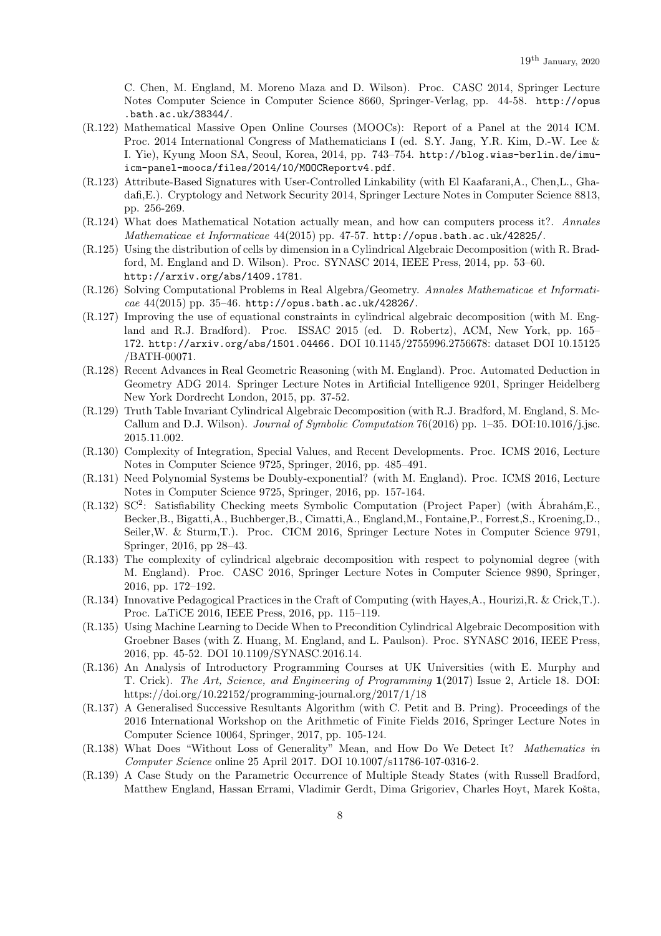C. Chen, M. England, M. Moreno Maza and D. Wilson). Proc. CASC 2014, Springer Lecture Notes Computer Science in Computer Science 8660, Springer-Verlag, pp. 44-58. http://opus .bath.ac.uk/38344/.

- (R.122) Mathematical Massive Open Online Courses (MOOCs): Report of a Panel at the 2014 ICM. Proc. 2014 International Congress of Mathematicians I (ed. S.Y. Jang, Y.R. Kim, D.-W. Lee & I. Yie), Kyung Moon SA, Seoul, Korea, 2014, pp. 743–754. http://blog.wias-berlin.de/imuicm-panel-moocs/files/2014/10/MOOCReportv4.pdf.
- (R.123) Attribute-Based Signatures with User-Controlled Linkability (with El Kaafarani,A., Chen,L., Ghadafi, E.). Cryptology and Network Security 2014, Springer Lecture Notes in Computer Science 8813, pp. 256-269.
- (R.124) What does Mathematical Notation actually mean, and how can computers process it?. *Annales Mathematicae et Informaticae* 44(2015) pp. 47-57. http://opus.bath.ac.uk/42825/.
- (R.125) Using the distribution of cells by dimension in a Cylindrical Algebraic Decomposition (with R. Bradford, M. England and D. Wilson). Proc. SYNASC 2014, IEEE Press, 2014, pp. 53–60. http://arxiv.org/abs/1409.1781.
- (R.126) Solving Computational Problems in Real Algebra/Geometry. *Annales Mathematicae et Informaticae* 44(2015) pp. 35–46. http://opus.bath.ac.uk/42826/.
- (R.127) Improving the use of equational constraints in cylindrical algebraic decomposition (with M. England and R.J. Bradford). Proc. ISSAC 2015 (ed. D. Robertz), ACM, New York, pp. 165– 172. http://arxiv.org/abs/1501.04466. DOI 10.1145/2755996.2756678: dataset DOI 10.15125 /BATH-00071.
- (R.128) Recent Advances in Real Geometric Reasoning (with M. England). Proc. Automated Deduction in Geometry ADG 2014. Springer Lecture Notes in Artificial Intelligence 9201, Springer Heidelberg New York Dordrecht London, 2015, pp. 37-52.
- (R.129) Truth Table Invariant Cylindrical Algebraic Decomposition (with R.J. Bradford, M. England, S. Mc-Callum and D.J. Wilson). *Journal of Symbolic Computation* 76(2016) pp. 1–35. DOI:10.1016/j.jsc. 2015.11.002.
- (R.130) Complexity of Integration, Special Values, and Recent Developments. Proc. ICMS 2016, Lecture Notes in Computer Science 9725, Springer, 2016, pp. 485–491.
- (R.131) Need Polynomial Systems be Doubly-exponential? (with M. England). Proc. ICMS 2016, Lecture Notes in Computer Science 9725, Springer, 2016, pp. 157-164.
- (R.132) SC<sup>2</sup>: Satisfiability Checking meets Symbolic Computation (Project Paper) (with Ábrahám,E., Becker,B., Bigatti,A., Buchberger,B., Cimatti,A., England,M., Fontaine,P., Forrest,S., Kroening,D., Seiler,W. & Sturm,T.). Proc. CICM 2016, Springer Lecture Notes in Computer Science 9791, Springer, 2016, pp 28–43.
- (R.133) The complexity of cylindrical algebraic decomposition with respect to polynomial degree (with M. England). Proc. CASC 2016, Springer Lecture Notes in Computer Science 9890, Springer, 2016, pp. 172–192.
- (R.134) Innovative Pedagogical Practices in the Craft of Computing (with Hayes,A., Hourizi,R. & Crick,T.). Proc. LaTiCE 2016, IEEE Press, 2016, pp. 115–119.
- (R.135) Using Machine Learning to Decide When to Precondition Cylindrical Algebraic Decomposition with Groebner Bases (with Z. Huang, M. England, and L. Paulson). Proc. SYNASC 2016, IEEE Press, 2016, pp. 45-52. DOI 10.1109/SYNASC.2016.14.
- (R.136) An Analysis of Introductory Programming Courses at UK Universities (with E. Murphy and T. Crick). *The Art, Science, and Engineering of Programming* 1(2017) Issue 2, Article 18. DOI: https://doi.org/10.22152/programming-journal.org/2017/1/18
- (R.137) A Generalised Successive Resultants Algorithm (with C. Petit and B. Pring). Proceedings of the 2016 International Workshop on the Arithmetic of Finite Fields 2016, Springer Lecture Notes in Computer Science 10064, Springer, 2017, pp. 105-124.
- (R.138) What Does "Without Loss of Generality" Mean, and How Do We Detect It? *Mathematics in Computer Science* online 25 April 2017. DOI 10.1007/s11786-107-0316-2.
- (R.139) A Case Study on the Parametric Occurrence of Multiple Steady States (with Russell Bradford, Matthew England, Hassan Errami, Vladimir Gerdt, Dima Grigoriev, Charles Hoyt, Marek Košta,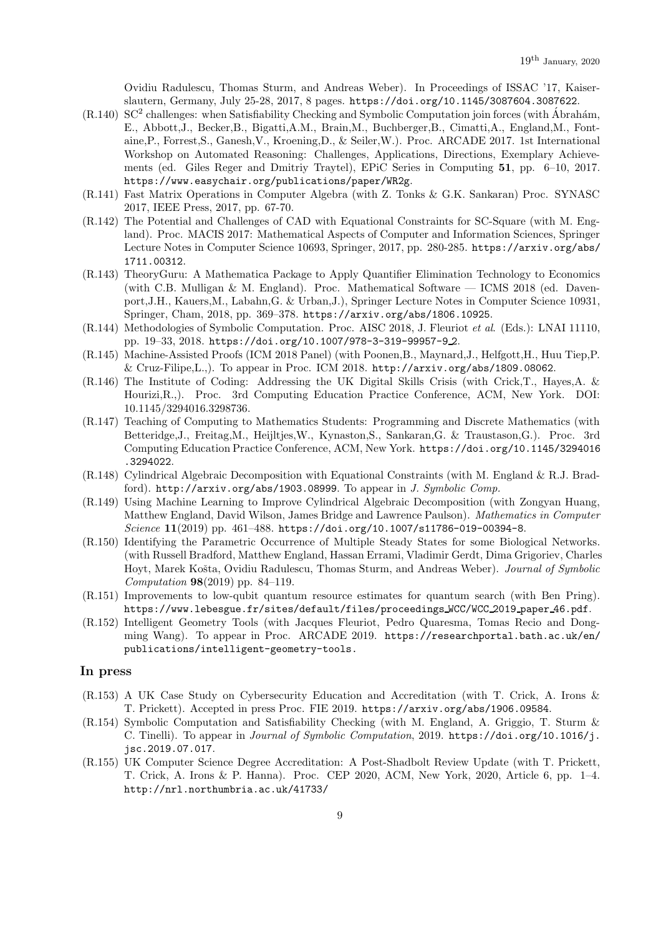Ovidiu Radulescu, Thomas Sturm, and Andreas Weber). In Proceedings of ISSAC '17, Kaiserslautern, Germany, July 25-28, 2017, 8 pages. https://doi.org/10.1145/3087604.3087622.

- (R.140) SC<sup>2</sup> challenges: when Satisfiability Checking and Symbolic Computation join forces (with Ábrahám, E., Abbott,J., Becker,B., Bigatti,A.M., Brain,M., Buchberger,B., Cimatti,A., England,M., Fontaine,P., Forrest,S., Ganesh,V., Kroening,D., & Seiler,W.). Proc. ARCADE 2017. 1st International Workshop on Automated Reasoning: Challenges, Applications, Directions, Exemplary Achievements (ed. Giles Reger and Dmitriy Traytel), EPiC Series in Computing 51, pp. 6–10, 2017. https://www.easychair.org/publications/paper/WR2g.
- (R.141) Fast Matrix Operations in Computer Algebra (with Z. Tonks & G.K. Sankaran) Proc. SYNASC 2017, IEEE Press, 2017, pp. 67-70.
- (R.142) The Potential and Challenges of CAD with Equational Constraints for SC-Square (with M. England). Proc. MACIS 2017: Mathematical Aspects of Computer and Information Sciences, Springer Lecture Notes in Computer Science 10693, Springer, 2017, pp. 280-285. https://arxiv.org/abs/ 1711.00312.
- (R.143) TheoryGuru: A Mathematica Package to Apply Quantifier Elimination Technology to Economics (with C.B. Mulligan & M. England). Proc. Mathematical Software — ICMS 2018 (ed. Davenport,J.H., Kauers,M., Labahn,G. & Urban,J.), Springer Lecture Notes in Computer Science 10931, Springer, Cham, 2018, pp. 369–378. https://arxiv.org/abs/1806.10925.
- (R.144) Methodologies of Symbolic Computation. Proc. AISC 2018, J. Fleuriot *et al*. (Eds.): LNAI 11110, pp. 19–33, 2018. https://doi.org/10.1007/978-3-319-99957-9 2.
- (R.145) Machine-Assisted Proofs (ICM 2018 Panel) (with Poonen,B., Maynard,J., Helfgott,H., Huu Tiep,P. & Cruz-Filipe,L.,). To appear in Proc. ICM 2018. http://arxiv.org/abs/1809.08062.
- (R.146) The Institute of Coding: Addressing the UK Digital Skills Crisis (with Crick,T., Hayes,A. & Hourizi,R.,). Proc. 3rd Computing Education Practice Conference, ACM, New York. DOI: 10.1145/3294016.3298736.
- (R.147) Teaching of Computing to Mathematics Students: Programming and Discrete Mathematics (with Betteridge,J., Freitag,M., Heijltjes,W., Kynaston,S., Sankaran,G. & Traustason,G.). Proc. 3rd Computing Education Practice Conference, ACM, New York. https://doi.org/10.1145/3294016 .3294022.
- (R.148) Cylindrical Algebraic Decomposition with Equational Constraints (with M. England & R.J. Bradford). http://arxiv.org/abs/1903.08999. To appear in *J. Symbolic Comp.*
- (R.149) Using Machine Learning to Improve Cylindrical Algebraic Decomposition (with Zongyan Huang, Matthew England, David Wilson, James Bridge and Lawrence Paulson). *Mathematics in Computer Science* 11(2019) pp. 461–488. https://doi.org/10.1007/s11786-019-00394-8.
- (R.150) Identifying the Parametric Occurrence of Multiple Steady States for some Biological Networks. (with Russell Bradford, Matthew England, Hassan Errami, Vladimir Gerdt, Dima Grigoriev, Charles Hoyt, Marek Košta, Ovidiu Radulescu, Thomas Sturm, and Andreas Weber). *Journal of Symbolic Computation* 98(2019) pp. 84–119.
- (R.151) Improvements to low-qubit quantum resource estimates for quantum search (with Ben Pring). https://www.lebesgue.fr/sites/default/files/proceedings WCC/WCC 2019 paper 46.pdf.
- (R.152) Intelligent Geometry Tools (with Jacques Fleuriot, Pedro Quaresma, Tomas Recio and Dongming Wang). To appear in Proc. ARCADE 2019. https://researchportal.bath.ac.uk/en/ publications/intelligent-geometry-tools.

### In press

- (R.153) A UK Case Study on Cybersecurity Education and Accreditation (with T. Crick, A. Irons & T. Prickett). Accepted in press Proc. FIE 2019. https://arxiv.org/abs/1906.09584.
- (R.154) Symbolic Computation and Satisfiability Checking (with M. England, A. Griggio, T. Sturm & C. Tinelli). To appear in *Journal of Symbolic Computation*, 2019. https://doi.org/10.1016/j. jsc.2019.07.017.
- (R.155) UK Computer Science Degree Accreditation: A Post-Shadbolt Review Update (with T. Prickett, T. Crick, A. Irons & P. Hanna). Proc. CEP 2020, ACM, New York, 2020, Article 6, pp. 1–4. http://nrl.northumbria.ac.uk/41733/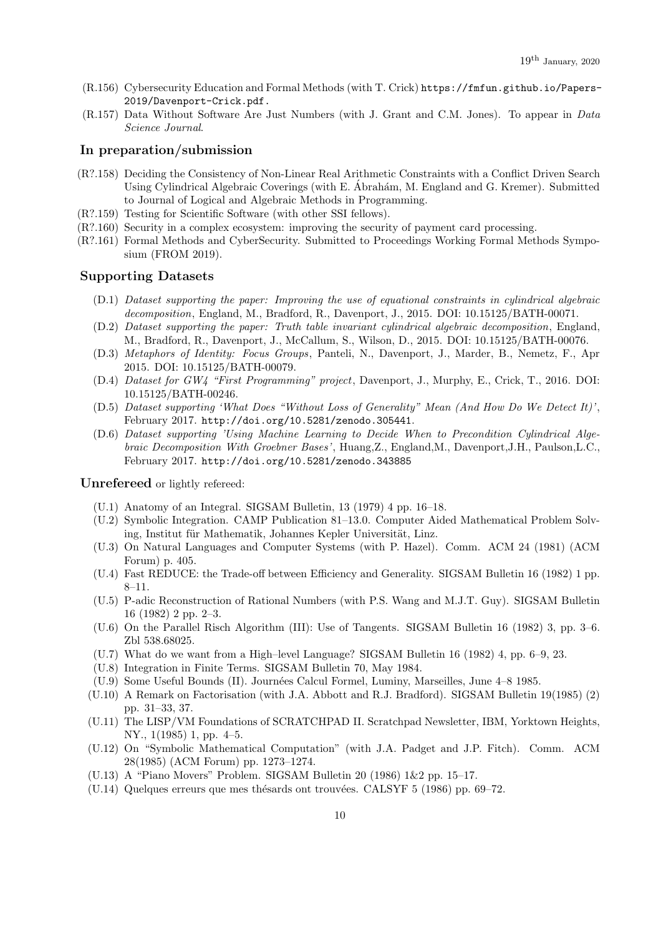- (R.156) Cybersecurity Education and Formal Methods (with T. Crick) https://fmfun.github.io/Papers-2019/Davenport-Crick.pdf.
- (R.157) Data Without Software Are Just Numbers (with J. Grant and C.M. Jones). To appear in *Data Science Journal*.

#### In preparation/submission

- (R?.158) Deciding the Consistency of Non-Linear Real Arithmetic Constraints with a Conflict Driven Search Using Cylindrical Algebraic Coverings (with E. Ábrahám, M. England and G. Kremer). Submitted to Journal of Logical and Algebraic Methods in Programming.
- (R?.159) Testing for Scientific Software (with other SSI fellows).
- (R?.160) Security in a complex ecosystem: improving the security of payment card processing.
- (R?.161) Formal Methods and CyberSecurity. Submitted to Proceedings Working Formal Methods Symposium (FROM 2019).

# Supporting Datasets

- (D.1) *Dataset supporting the paper: Improving the use of equational constraints in cylindrical algebraic decomposition*, England, M., Bradford, R., Davenport, J., 2015. DOI: 10.15125/BATH-00071.
- (D.2) *Dataset supporting the paper: Truth table invariant cylindrical algebraic decomposition*, England, M., Bradford, R., Davenport, J., McCallum, S., Wilson, D., 2015. DOI: 10.15125/BATH-00076.
- (D.3) *Metaphors of Identity: Focus Groups*, Panteli, N., Davenport, J., Marder, B., Nemetz, F., Apr 2015. DOI: 10.15125/BATH-00079.
- (D.4) *Dataset for GW4 "First Programming" project*, Davenport, J., Murphy, E., Crick, T., 2016. DOI: 10.15125/BATH-00246.
- (D.5) *Dataset supporting 'What Does "Without Loss of Generality" Mean (And How Do We Detect It)'*, February 2017. http://doi.org/10.5281/zenodo.305441.
- (D.6) *Dataset supporting 'Using Machine Learning to Decide When to Precondition Cylindrical Algebraic Decomposition With Groebner Bases'*, Huang,Z., England,M., Davenport,J.H., Paulson,L.C., February 2017. http://doi.org/10.5281/zenodo.343885

Unrefereed or lightly refereed:

- (U.1) Anatomy of an Integral. SIGSAM Bulletin, 13 (1979) 4 pp. 16–18.
- (U.2) Symbolic Integration. CAMP Publication 81–13.0. Computer Aided Mathematical Problem Solving, Institut für Mathematik, Johannes Kepler Universität, Linz.
- (U.3) On Natural Languages and Computer Systems (with P. Hazel). Comm. ACM 24 (1981) (ACM Forum) p. 405.
- (U.4) Fast REDUCE: the Trade-off between Efficiency and Generality. SIGSAM Bulletin 16 (1982) 1 pp. 8–11.
- (U.5) P-adic Reconstruction of Rational Numbers (with P.S. Wang and M.J.T. Guy). SIGSAM Bulletin 16 (1982) 2 pp. 2–3.
- (U.6) On the Parallel Risch Algorithm (III): Use of Tangents. SIGSAM Bulletin 16 (1982) 3, pp. 3–6. Zbl 538.68025.
- (U.7) What do we want from a High–level Language? SIGSAM Bulletin 16 (1982) 4, pp. 6–9, 23.
- (U.8) Integration in Finite Terms. SIGSAM Bulletin 70, May 1984.
- (U.9) Some Useful Bounds (II). Journ´ees Calcul Formel, Luminy, Marseilles, June 4–8 1985.
- (U.10) A Remark on Factorisation (with J.A. Abbott and R.J. Bradford). SIGSAM Bulletin 19(1985) (2) pp. 31–33, 37.
- (U.11) The LISP/VM Foundations of SCRATCHPAD II. Scratchpad Newsletter, IBM, Yorktown Heights, NY., 1(1985) 1, pp. 4–5.
- (U.12) On "Symbolic Mathematical Computation" (with J.A. Padget and J.P. Fitch). Comm. ACM 28(1985) (ACM Forum) pp. 1273–1274.
- $(U.13)$  A "Piano Movers" Problem. SIGSAM Bulletin 20 (1986) 1&2 pp. 15–17.
- $(U.14)$  Quelques erreurs que mes thésards ont trouvées. CALSYF 5 (1986) pp. 69–72.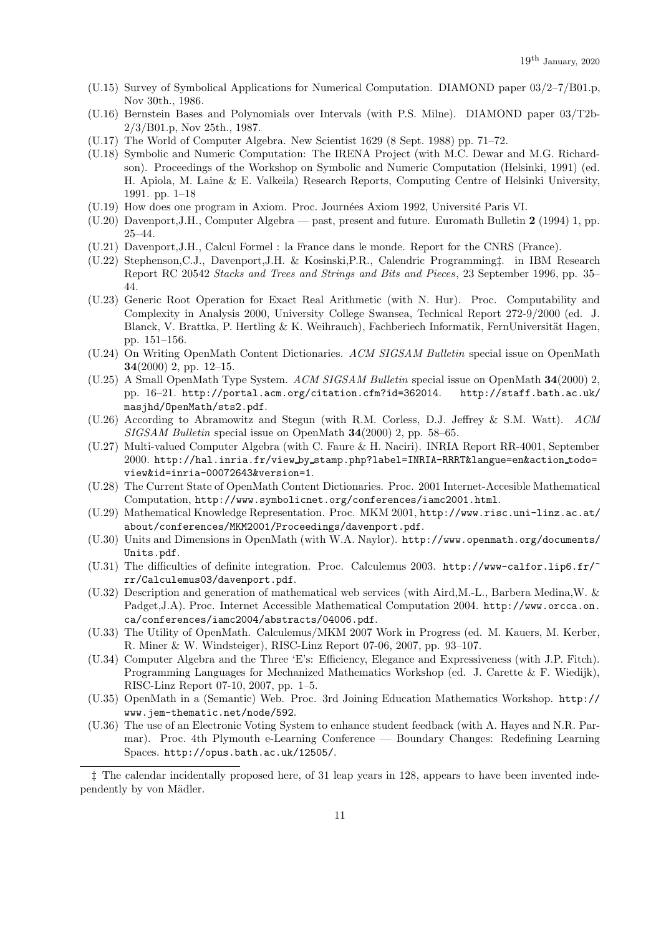- (U.15) Survey of Symbolical Applications for Numerical Computation. DIAMOND paper 03/2–7/B01.p, Nov 30th., 1986.
- (U.16) Bernstein Bases and Polynomials over Intervals (with P.S. Milne). DIAMOND paper 03/T2b-2/3/B01.p, Nov 25th., 1987.
- (U.17) The World of Computer Algebra. New Scientist 1629 (8 Sept. 1988) pp. 71–72.
- (U.18) Symbolic and Numeric Computation: The IRENA Project (with M.C. Dewar and M.G. Richardson). Proceedings of the Workshop on Symbolic and Numeric Computation (Helsinki, 1991) (ed. H. Apiola, M. Laine & E. Valkeila) Research Reports, Computing Centre of Helsinki University, 1991. pp. 1–18
- (U.19) How does one program in Axiom. Proc. Journ´ees Axiom 1992, Universit´e Paris VI.
- (U.20) Davenport,J.H., Computer Algebra past, present and future. Euromath Bulletin 2 (1994) 1, pp. 25–44.
- (U.21) Davenport,J.H., Calcul Formel : la France dans le monde. Report for the CNRS (France).
- (U.22) Stephenson,C.J., Davenport,J.H. & Kosinski,P.R., Calendric Programming‡. in IBM Research Report RC 20542 *Stacks and Trees and Strings and Bits and Pieces*, 23 September 1996, pp. 35– 44.
- (U.23) Generic Root Operation for Exact Real Arithmetic (with N. Hur). Proc. Computability and Complexity in Analysis 2000, University College Swansea, Technical Report 272-9/2000 (ed. J. Blanck, V. Brattka, P. Hertling & K. Weihrauch), Fachberiech Informatik, FernUniversität Hagen, pp. 151–156.
- (U.24) On Writing OpenMath Content Dictionaries. *ACM SIGSAM Bulletin* special issue on OpenMath 34(2000) 2, pp. 12–15.
- (U.25) A Small OpenMath Type System. *ACM SIGSAM Bulletin* special issue on OpenMath 34(2000) 2, pp. 16–21. http://portal.acm.org/citation.cfm?id=362014. http://staff.bath.ac.uk/ masjhd/OpenMath/sts2.pdf.
- (U.26) According to Abramowitz and Stegun (with R.M. Corless, D.J. Jeffrey & S.M. Watt). *ACM SIGSAM Bulletin* special issue on OpenMath 34(2000) 2, pp. 58–65.
- (U.27) Multi-valued Computer Algebra (with C. Faure & H. Naciri). INRIA Report RR-4001, September 2000. http://hal.inria.fr/view by stamp.php?label=INRIA-RRRT&langue=en&action todo= view&id=inria-00072643&version=1.
- (U.28) The Current State of OpenMath Content Dictionaries. Proc. 2001 Internet-Accesible Mathematical Computation, http://www.symbolicnet.org/conferences/iamc2001.html.
- (U.29) Mathematical Knowledge Representation. Proc. MKM 2001, http://www.risc.uni-linz.ac.at/ about/conferences/MKM2001/Proceedings/davenport.pdf.
- (U.30) Units and Dimensions in OpenMath (with W.A. Naylor). http://www.openmath.org/documents/ Units.pdf.
- (U.31) The difficulties of definite integration. Proc. Calculemus 2003. http://www-calfor.lip6.fr/~ rr/Calculemus03/davenport.pdf.
- (U.32) Description and generation of mathematical web services (with Aird,M.-L., Barbera Medina,W. & Padget,J.A). Proc. Internet Accessible Mathematical Computation 2004. http://www.orcca.on. ca/conferences/iamc2004/abstracts/04006.pdf.
- (U.33) The Utility of OpenMath. Calculemus/MKM 2007 Work in Progress (ed. M. Kauers, M. Kerber, R. Miner & W. Windsteiger), RISC-Linz Report 07-06, 2007, pp. 93–107.
- (U.34) Computer Algebra and the Three 'E's: Efficiency, Elegance and Expressiveness (with J.P. Fitch). Programming Languages for Mechanized Mathematics Workshop (ed. J. Carette & F. Wiedijk), RISC-Linz Report 07-10, 2007, pp. 1–5.
- (U.35) OpenMath in a (Semantic) Web. Proc. 3rd Joining Education Mathematics Workshop. http:// www.jem-thematic.net/node/592.
- (U.36) The use of an Electronic Voting System to enhance student feedback (with A. Hayes and N.R. Parmar). Proc. 4th Plymouth e-Learning Conference — Boundary Changes: Redefining Learning Spaces. http://opus.bath.ac.uk/12505/.

<sup>‡</sup> The calendar incidentally proposed here, of 31 leap years in 128, appears to have been invented independently by von Mädler.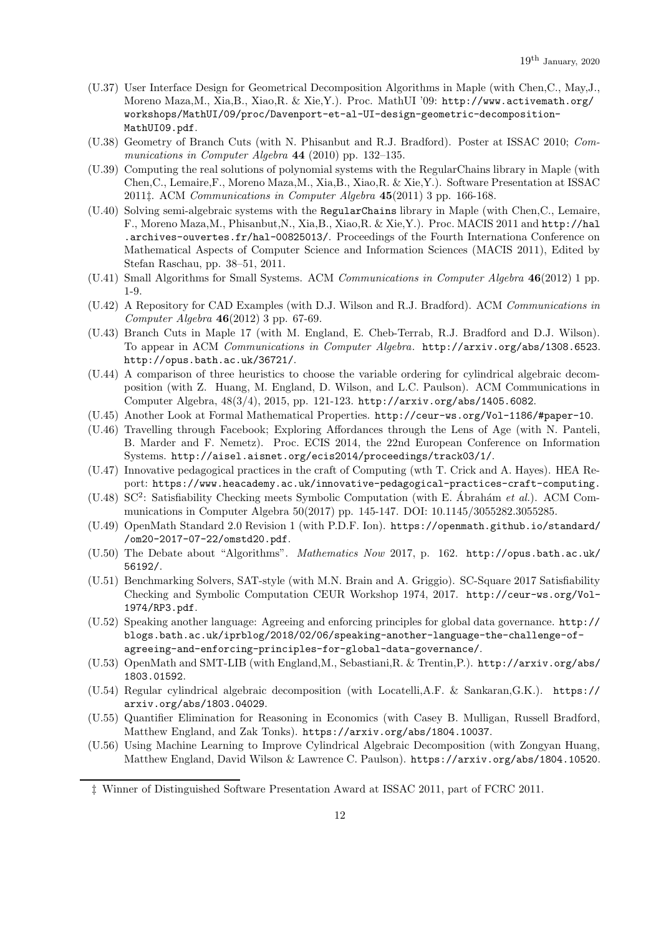- (U.37) User Interface Design for Geometrical Decomposition Algorithms in Maple (with Chen,C., May,J., Moreno Maza,M., Xia,B., Xiao,R. & Xie,Y.). Proc. MathUI '09: http://www.activemath.org/ workshops/MathUI/09/proc/Davenport-et-al-UI-design-geometric-decomposition-MathUI09.pdf.
- (U.38) Geometry of Branch Cuts (with N. Phisanbut and R.J. Bradford). Poster at ISSAC 2010; *Communications in Computer Algebra* 44 (2010) pp. 132–135.
- (U.39) Computing the real solutions of polynomial systems with the RegularChains library in Maple (with Chen,C., Lemaire,F., Moreno Maza,M., Xia,B., Xiao,R. & Xie,Y.). Software Presentation at ISSAC 2011‡. ACM *Communications in Computer Algebra* 45(2011) 3 pp. 166-168.
- (U.40) Solving semi-algebraic systems with the RegularChains library in Maple (with Chen,C., Lemaire, F., Moreno Maza,M., Phisanbut,N., Xia,B., Xiao,R. & Xie,Y.). Proc. MACIS 2011 and http://hal .archives-ouvertes.fr/hal-00825013/. Proceedings of the Fourth Internationa Conference on Mathematical Aspects of Computer Science and Information Sciences (MACIS 2011), Edited by Stefan Raschau, pp. 38–51, 2011.
- (U.41) Small Algorithms for Small Systems. ACM *Communications in Computer Algebra* 46(2012) 1 pp. 1-9.
- (U.42) A Repository for CAD Examples (with D.J. Wilson and R.J. Bradford). ACM *Communications in Computer Algebra* 46(2012) 3 pp. 67-69.
- (U.43) Branch Cuts in Maple 17 (with M. England, E. Cheb-Terrab, R.J. Bradford and D.J. Wilson). To appear in ACM *Communications in Computer Algebra*. http://arxiv.org/abs/1308.6523. http://opus.bath.ac.uk/36721/.
- (U.44) A comparison of three heuristics to choose the variable ordering for cylindrical algebraic decomposition (with Z. Huang, M. England, D. Wilson, and L.C. Paulson). ACM Communications in Computer Algebra, 48(3/4), 2015, pp. 121-123. http://arxiv.org/abs/1405.6082.
- (U.45) Another Look at Formal Mathematical Properties. http://ceur-ws.org/Vol-1186/#paper-10.
- (U.46) Travelling through Facebook; Exploring Affordances through the Lens of Age (with N. Panteli, B. Marder and F. Nemetz). Proc. ECIS 2014, the 22nd European Conference on Information Systems. http://aisel.aisnet.org/ecis2014/proceedings/track03/1/.
- (U.47) Innovative pedagogical practices in the craft of Computing (wth T. Crick and A. Hayes). HEA Report: https://www.heacademy.ac.uk/innovative-pedagogical-practices-craft-computing.
- (U.48) SC<sup>2</sup>: Satisfiability Checking meets Symbolic Computation (with E. Ábrahám *et al.*). ACM Communications in Computer Algebra 50(2017) pp. 145-147. DOI: 10.1145/3055282.3055285.
- (U.49) OpenMath Standard 2.0 Revision 1 (with P.D.F. Ion). https://openmath.github.io/standard/ /om20-2017-07-22/omstd20.pdf.
- (U.50) The Debate about "Algorithms". *Mathematics Now* 2017, p. 162. http://opus.bath.ac.uk/ 56192/.
- (U.51) Benchmarking Solvers, SAT-style (with M.N. Brain and A. Griggio). SC-Square 2017 Satisfiability Checking and Symbolic Computation CEUR Workshop 1974, 2017. http://ceur-ws.org/Vol-1974/RP3.pdf.
- (U.52) Speaking another language: Agreeing and enforcing principles for global data governance. http:// blogs.bath.ac.uk/iprblog/2018/02/06/speaking-another-language-the-challenge-ofagreeing-and-enforcing-principles-for-global-data-governance/.
- (U.53) OpenMath and SMT-LIB (with England,M., Sebastiani,R. & Trentin,P.). http://arxiv.org/abs/ 1803.01592.
- (U.54) Regular cylindrical algebraic decomposition (with Locatelli,A.F. & Sankaran,G.K.). https:// arxiv.org/abs/1803.04029.
- (U.55) Quantifier Elimination for Reasoning in Economics (with Casey B. Mulligan, Russell Bradford, Matthew England, and Zak Tonks). https://arxiv.org/abs/1804.10037.
- (U.56) Using Machine Learning to Improve Cylindrical Algebraic Decomposition (with Zongyan Huang, Matthew England, David Wilson & Lawrence C. Paulson). https://arxiv.org/abs/1804.10520.

<sup>‡</sup> Winner of Distinguished Software Presentation Award at ISSAC 2011, part of FCRC 2011.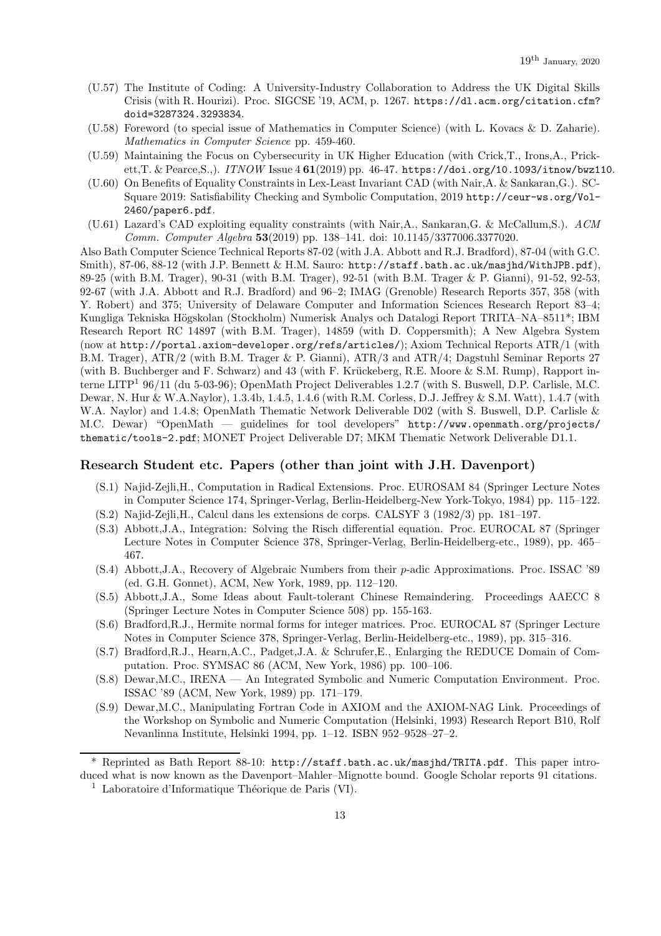- (U.57) The Institute of Coding: A University-Industry Collaboration to Address the UK Digital Skills Crisis (with R. Hourizi). Proc. SIGCSE '19, ACM, p. 1267. https://dl.acm.org/citation.cfm? doid=3287324.3293834.
- (U.58) Foreword (to special issue of Mathematics in Computer Science) (with L. Kovacs & D. Zaharie). *Mathematics in Computer Science* pp. 459-460.
- (U.59) Maintaining the Focus on Cybersecurity in UK Higher Education (with Crick,T., Irons,A., Prickett,T. & Pearce,S.,). *ITNOW* Issue 4 61(2019) pp. 46-47. https://doi.org/10.1093/itnow/bwz110.
- (U.60) On Benefits of Equality Constraints in Lex-Least Invariant CAD (with Nair,A. & Sankaran,G.). SC-Square 2019: Satisfiability Checking and Symbolic Computation, 2019 http://ceur-ws.org/Vol-2460/paper6.pdf.
- (U.61) Lazard's CAD exploiting equality constraints (with Nair,A., Sankaran,G. & McCallum,S.). *ACM Comm. Computer Algebra* 53(2019) pp. 138–141. doi: 10.1145/3377006.3377020.

Also Bath Computer Science Technical Reports 87-02 (with J.A. Abbott and R.J. Bradford), 87-04 (with G.C. Smith), 87-06, 88-12 (with J.P. Bennett & H.M. Sauro: http://staff.bath.ac.uk/masjhd/WithJPB.pdf), 89-25 (with B.M. Trager), 90-31 (with B.M. Trager), 92-51 (with B.M. Trager & P. Gianni), 91-52, 92-53, 92-67 (with J.A. Abbott and R.J. Bradford) and 96–2; IMAG (Grenoble) Research Reports 357, 358 (with Y. Robert) and 375; University of Delaware Computer and Information Sciences Research Report 83–4; Kungliga Tekniska Högskolan (Stockholm) Numerisk Analys och Datalogi Report TRITA–NA–8511<sup>\*</sup>; IBM Research Report RC 14897 (with B.M. Trager), 14859 (with D. Coppersmith); A New Algebra System (now at http://portal.axiom-developer.org/refs/articles/); Axiom Technical Reports ATR/1 (with B.M. Trager), ATR/2 (with B.M. Trager & P. Gianni), ATR/3 and ATR/4; Dagstuhl Seminar Reports 27 (with B. Buchberger and F. Schwarz) and 43 (with F. Krückeberg, R.E. Moore  $&$  S.M. Rump), Rapport interne LITP<sup>1</sup> 96/11 (du 5-03-96); OpenMath Project Deliverables 1.2.7 (with S. Buswell, D.P. Carlisle, M.C. Dewar, N. Hur & W.A.Naylor), 1.3.4b, 1.4.5, 1.4.6 (with R.M. Corless, D.J. Jeffrey & S.M. Watt), 1.4.7 (with W.A. Naylor) and 1.4.8; OpenMath Thematic Network Deliverable D02 (with S. Buswell, D.P. Carlisle & M.C. Dewar) "OpenMath — guidelines for tool developers" http://www.openmath.org/projects/ thematic/tools-2.pdf; MONET Project Deliverable D7; MKM Thematic Network Deliverable D1.1.

## Research Student etc. Papers (other than joint with J.H. Davenport)

- (S.1) Najid-Zejli,H., Computation in Radical Extensions. Proc. EUROSAM 84 (Springer Lecture Notes in Computer Science 174, Springer-Verlag, Berlin-Heidelberg-New York-Tokyo, 1984) pp. 115–122.
- (S.2) Najid-Zejli,H., Calcul dans les extensions de corps. CALSYF 3 (1982/3) pp. 181–197.
- (S.3) Abbott,J.A., Integration: Solving the Risch differential equation. Proc. EUROCAL 87 (Springer Lecture Notes in Computer Science 378, Springer-Verlag, Berlin-Heidelberg-etc., 1989), pp. 465– 467.
- (S.4) Abbott,J.A., Recovery of Algebraic Numbers from their p-adic Approximations. Proc. ISSAC '89 (ed. G.H. Gonnet), ACM, New York, 1989, pp. 112–120.
- (S.5) Abbott,J.A., Some Ideas about Fault-tolerant Chinese Remaindering. Proceedings AAECC 8 (Springer Lecture Notes in Computer Science 508) pp. 155-163.
- (S.6) Bradford,R.J., Hermite normal forms for integer matrices. Proc. EUROCAL 87 (Springer Lecture Notes in Computer Science 378, Springer-Verlag, Berlin-Heidelberg-etc., 1989), pp. 315–316.
- (S.7) Bradford,R.J., Hearn,A.C., Padget,J.A. & Schrufer,E., Enlarging the REDUCE Domain of Computation. Proc. SYMSAC 86 (ACM, New York, 1986) pp. 100–106.
- (S.8) Dewar,M.C., IRENA An Integrated Symbolic and Numeric Computation Environment. Proc. ISSAC '89 (ACM, New York, 1989) pp. 171–179.
- (S.9) Dewar,M.C., Manipulating Fortran Code in AXIOM and the AXIOM-NAG Link. Proceedings of the Workshop on Symbolic and Numeric Computation (Helsinki, 1993) Research Report B10, Rolf Nevanlinna Institute, Helsinki 1994, pp. 1–12. ISBN 952–9528–27–2.

<sup>\*</sup> Reprinted as Bath Report 88-10: http://staff.bath.ac.uk/masjhd/TRITA.pdf. This paper introduced what is now known as the Davenport–Mahler–Mignotte bound. Google Scholar reports 91 citations.

<sup>&</sup>lt;sup>1</sup> Laboratoire d'Informatique Théorique de Paris (VI).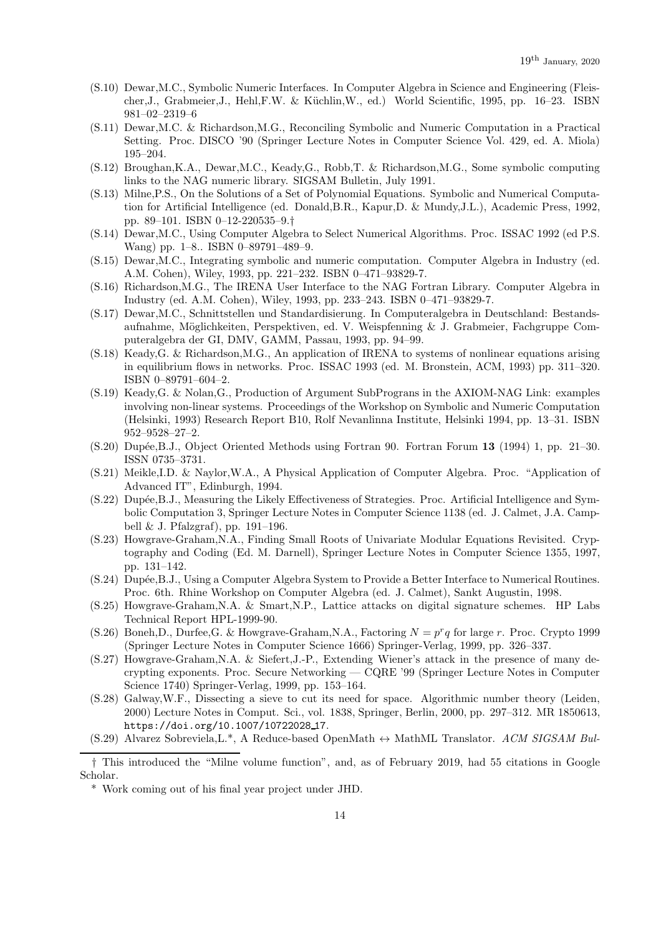- (S.10) Dewar,M.C., Symbolic Numeric Interfaces. In Computer Algebra in Science and Engineering (Fleischer,J., Grabmeier,J., Hehl,F.W. & Küchlin,W., ed.) World Scientific, 1995, pp. 16–23. ISBN 981–02–2319–6
- (S.11) Dewar,M.C. & Richardson,M.G., Reconciling Symbolic and Numeric Computation in a Practical Setting. Proc. DISCO '90 (Springer Lecture Notes in Computer Science Vol. 429, ed. A. Miola) 195–204.
- (S.12) Broughan,K.A., Dewar,M.C., Keady,G., Robb,T. & Richardson,M.G., Some symbolic computing links to the NAG numeric library. SIGSAM Bulletin, July 1991.
- (S.13) Milne,P.S., On the Solutions of a Set of Polynomial Equations. Symbolic and Numerical Computation for Artificial Intelligence (ed. Donald,B.R., Kapur,D. & Mundy,J.L.), Academic Press, 1992, pp. 89–101. ISBN 0–12-220535–9.†
- (S.14) Dewar,M.C., Using Computer Algebra to Select Numerical Algorithms. Proc. ISSAC 1992 (ed P.S. Wang) pp. 1–8.. ISBN 0-89791-489-9.
- (S.15) Dewar,M.C., Integrating symbolic and numeric computation. Computer Algebra in Industry (ed. A.M. Cohen), Wiley, 1993, pp. 221–232. ISBN 0–471–93829-7.
- (S.16) Richardson,M.G., The IRENA User Interface to the NAG Fortran Library. Computer Algebra in Industry (ed. A.M. Cohen), Wiley, 1993, pp. 233–243. ISBN 0–471–93829-7.
- (S.17) Dewar,M.C., Schnittstellen und Standardisierung. In Computeralgebra in Deutschland: Bestandsaufnahme, Möglichkeiten, Perspektiven, ed. V. Weispfenning & J. Grabmeier, Fachgruppe Computeralgebra der GI, DMV, GAMM, Passau, 1993, pp. 94–99.
- (S.18) Keady,G. & Richardson,M.G., An application of IRENA to systems of nonlinear equations arising in equilibrium flows in networks. Proc. ISSAC 1993 (ed. M. Bronstein, ACM, 1993) pp. 311–320. ISBN 0–89791–604–2.
- (S.19) Keady,G. & Nolan,G., Production of Argument SubPrograns in the AXIOM-NAG Link: examples involving non-linear systems. Proceedings of the Workshop on Symbolic and Numeric Computation (Helsinki, 1993) Research Report B10, Rolf Nevanlinna Institute, Helsinki 1994, pp. 13–31. ISBN 952–9528–27–2.
- (S.20) Dup´ee,B.J., Object Oriented Methods using Fortran 90. Fortran Forum 13 (1994) 1, pp. 21–30. ISSN 0735–3731.
- (S.21) Meikle,I.D. & Naylor,W.A., A Physical Application of Computer Algebra. Proc. "Application of Advanced IT", Edinburgh, 1994.
- (S.22) Dup´ee,B.J., Measuring the Likely Effectiveness of Strategies. Proc. Artificial Intelligence and Symbolic Computation 3, Springer Lecture Notes in Computer Science 1138 (ed. J. Calmet, J.A. Campbell & J. Pfalzgraf), pp. 191–196.
- (S.23) Howgrave-Graham,N.A., Finding Small Roots of Univariate Modular Equations Revisited. Cryptography and Coding (Ed. M. Darnell), Springer Lecture Notes in Computer Science 1355, 1997, pp. 131–142.
- (S.24) Dup´ee,B.J., Using a Computer Algebra System to Provide a Better Interface to Numerical Routines. Proc. 6th. Rhine Workshop on Computer Algebra (ed. J. Calmet), Sankt Augustin, 1998.
- (S.25) Howgrave-Graham,N.A. & Smart,N.P., Lattice attacks on digital signature schemes. HP Labs Technical Report HPL-1999-90.
- $(S.26)$  Boneh, D., Durfee, G. & Howgrave-Graham, N.A., Factoring  $N = p^r q$  for large r. Proc. Crypto 1999 (Springer Lecture Notes in Computer Science 1666) Springer-Verlag, 1999, pp. 326–337.
- (S.27) Howgrave-Graham,N.A. & Siefert,J.-P., Extending Wiener's attack in the presence of many decrypting exponents. Proc. Secure Networking — CQRE '99 (Springer Lecture Notes in Computer Science 1740) Springer-Verlag, 1999, pp. 153–164.
- (S.28) Galway,W.F., Dissecting a sieve to cut its need for space. Algorithmic number theory (Leiden, 2000) Lecture Notes in Comput. Sci., vol. 1838, Springer, Berlin, 2000, pp. 297–312. MR 1850613, https://doi.org/10.1007/10722028 17.
- (S.29) Alvarez Sobreviela,L.\*, A Reduce-based OpenMath ↔ MathML Translator. *ACM SIGSAM Bul-*

<sup>†</sup> This introduced the "Milne volume function", and, as of February 2019, had 55 citations in Google Scholar.

<sup>\*</sup> Work coming out of his final year project under JHD.